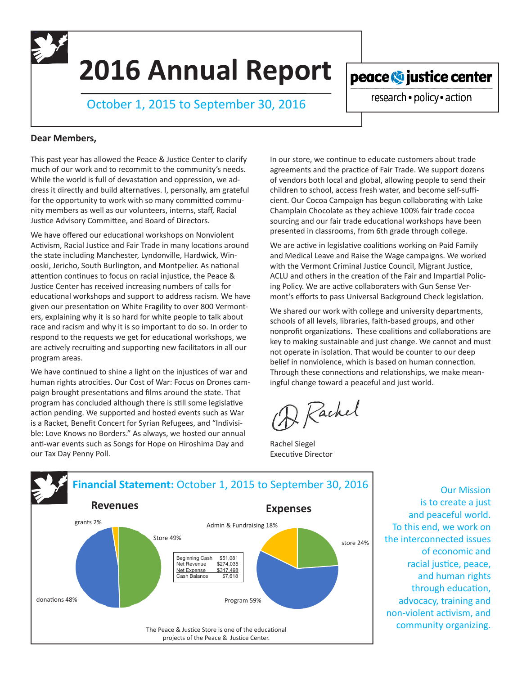**2016 Annual Report**

October 1, 2015 to September 30, 2016

peace **O** justice center

research · policy · action

## **Dear Members,**

This past year has allowed the Peace & Justice Center to clarify much of our work and to recommit to the community's needs. While the world is full of devastation and oppression, we address it directly and build alternatives. I, personally, am grateful for the opportunity to work with so many committed community members as well as our volunteers, interns, staff, Racial Justice Advisory Committee, and Board of Directors.

We have offered our educational workshops on Nonviolent Activism, Racial Justice and Fair Trade in many locations around the state including Manchester, Lyndonville, Hardwick, Winooski, Jericho, South Burlington, and Montpelier. As national attention continues to focus on racial injustice, the Peace & Justice Center has received increasing numbers of calls for educational workshops and support to address racism. We have given our presentation on White Fragility to over 800 Vermonters, explaining why it is so hard for white people to talk about race and racism and why it is so important to do so. In order to respond to the requests we get for educational workshops, we are actively recruiting and supporting new facilitators in all our program areas.

We have continued to shine a light on the injustices of war and human rights atrocities. Our Cost of War: Focus on Drones campaign brought presentations and films around the state. That program has concluded although there is still some legislative action pending. We supported and hosted events such as War is a Racket, Benefit Concert for Syrian Refugees, and "Indivisible: Love Knows no Borders." As always, we hosted our annual anti-war events such as Songs for Hope on Hiroshima Day and our Tax Day Penny Poll.

In our store, we continue to educate customers about trade agreements and the practice of Fair Trade. We support dozens of vendors both local and global, allowing people to send their children to school, access fresh water, and become self-sufficient. Our Cocoa Campaign has begun collaborating with Lake Champlain Chocolate as they achieve 100% fair trade cocoa sourcing and our fair trade educational workshops have been presented in classrooms, from 6th grade through college.

We are active in legislative coalitions working on Paid Family and Medical Leave and Raise the Wage campaigns. We worked with the Vermont Criminal Justice Council, Migrant Justice, ACLU and others in the creation of the Fair and Impartial Policing Policy. We are active collaboraters with Gun Sense Vermont's efforts to pass Universal Background Check legislation.

We shared our work with college and university departments, schools of all levels, libraries, faith-based groups, and other nonprofit organizations. These coalitions and collaborations are key to making sustainable and just change. We cannot and must not operate in isolation. That would be counter to our deep belief in nonviolence, which is based on human connection. Through these connections and relationships, we make meaningful change toward a peaceful and just world.

2 Rachel

Rachel Siegel Executive Director



Our Mission is to create a just and peaceful world. To this end, we work on the interconnected issues of economic and racial justice, peace, and human rights through education, advocacy, training and non-violent activism, and community organizing.